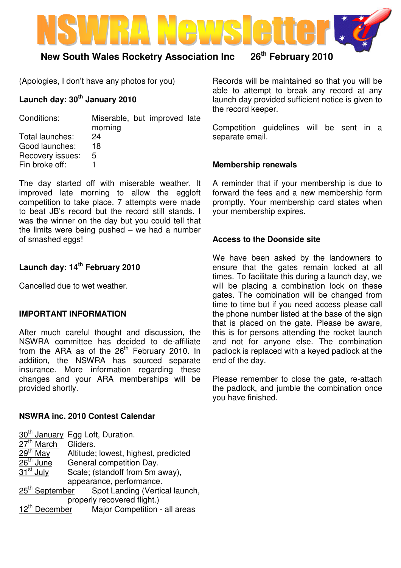

## **New South Wales Rocketry Association Inc 26th February 2010**

(Apologies, I don't have any photos for you)

### **Launch day: 30th January 2010**

| Conditions:      | Miserable, but improved late<br>morning |  |  |
|------------------|-----------------------------------------|--|--|
| Total launches:  | 24                                      |  |  |
| Good launches:   | 18                                      |  |  |
| Recovery issues: | 5                                       |  |  |
| Fin broke off:   |                                         |  |  |

The day started off with miserable weather. It improved late morning to allow the eggloft competition to take place. 7 attempts were made to beat JB's record but the record still stands. I was the winner on the day but you could tell that the limits were being pushed – we had a number of smashed eggs!

#### **Launch day: 14th February 2010**

Cancelled due to wet weather.

#### **IMPORTANT INFORMATION**

After much careful thought and discussion, the NSWRA committee has decided to de-affiliate from the ARA as of the 26<sup>th</sup> February 2010. In addition, the NSWRA has sourced separate insurance. More information regarding these changes and your ARA memberships will be provided shortly.

#### **NSWRA inc. 2010 Contest Calendar**

|                             | 30 <sup>th</sup> January Egg Loft, Duration.            |  |  |
|-----------------------------|---------------------------------------------------------|--|--|
| $27th$ March                | Gliders.                                                |  |  |
| $29th$ May                  | Altitude; lowest, highest, predicted                    |  |  |
| $26th$ June                 | General competition Day.                                |  |  |
| $31st$ July                 | Scale; (standoff from 5m away),                         |  |  |
|                             | appearance, performance.                                |  |  |
| 25 <sup>th</sup> September  | Spot Landing (Vertical launch,                          |  |  |
| properly recovered flight.) |                                                         |  |  |
|                             | 12 <sup>th</sup> December Major Competition - all areas |  |  |

Records will be maintained so that you will be able to attempt to break any record at any launch day provided sufficient notice is given to the record keeper.

Competition guidelines will be sent in a separate email.

#### **Membership renewals**

A reminder that if your membership is due to forward the fees and a new membership form promptly. Your membership card states when your membership expires.

#### **Access to the Doonside site**

We have been asked by the landowners to ensure that the gates remain locked at all times. To facilitate this during a launch day, we will be placing a combination lock on these gates. The combination will be changed from time to time but if you need access please call the phone number listed at the base of the sign that is placed on the gate. Please be aware, this is for persons attending the rocket launch and not for anyone else. The combination padlock is replaced with a keyed padlock at the end of the day.

Please remember to close the gate, re-attach the padlock, and jumble the combination once you have finished.